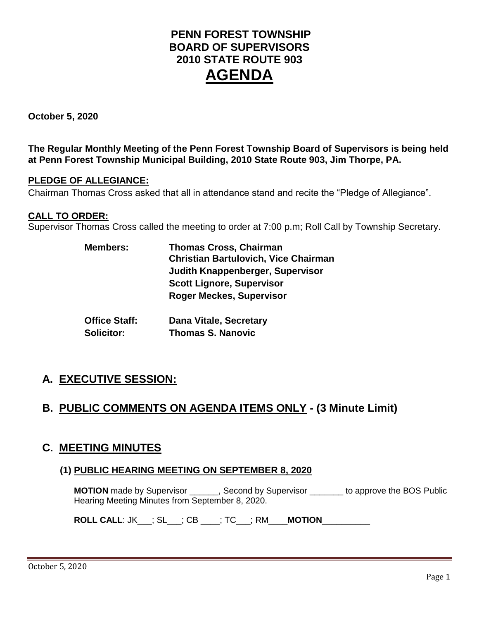# **PENN FOREST TOWNSHIP BOARD OF SUPERVISORS 2010 STATE ROUTE 903 AGENDA**

**October 5, 2020**

**The Regular Monthly Meeting of the Penn Forest Township Board of Supervisors is being held at Penn Forest Township Municipal Building, 2010 State Route 903, Jim Thorpe, PA.** 

#### **PLEDGE OF ALLEGIANCE:**

Chairman Thomas Cross asked that all in attendance stand and recite the "Pledge of Allegiance".

#### **CALL TO ORDER:**

Supervisor Thomas Cross called the meeting to order at 7:00 p.m; Roll Call by Township Secretary.

| <b>Members:</b>      | <b>Thomas Cross, Chairman</b><br><b>Christian Bartulovich, Vice Chairman</b> |  |  |  |
|----------------------|------------------------------------------------------------------------------|--|--|--|
|                      | Judith Knappenberger, Supervisor                                             |  |  |  |
|                      | <b>Scott Lignore, Supervisor</b>                                             |  |  |  |
|                      | <b>Roger Meckes, Supervisor</b>                                              |  |  |  |
| <b>Office Staff:</b> | <b>Dana Vitale, Secretary</b>                                                |  |  |  |
| <b>Solicitor:</b>    | <b>Thomas S. Nanovic</b>                                                     |  |  |  |

# **A. EXECUTIVE SESSION:**

## **B. PUBLIC COMMENTS ON AGENDA ITEMS ONLY - (3 Minute Limit)**

### **C. MEETING MINUTES**

### **(1) PUBLIC HEARING MEETING ON SEPTEMBER 8, 2020**

**MOTION** made by Supervisor \_\_\_\_\_\_, Second by Supervisor \_\_\_\_\_\_\_ to approve the BOS Public Hearing Meeting Minutes from September 8, 2020.

**ROLL CALL**: JK\_\_\_; SL\_\_\_; CB \_\_\_\_; TC\_\_\_; RM\_\_\_\_**MOTION**\_\_\_\_\_\_\_\_\_\_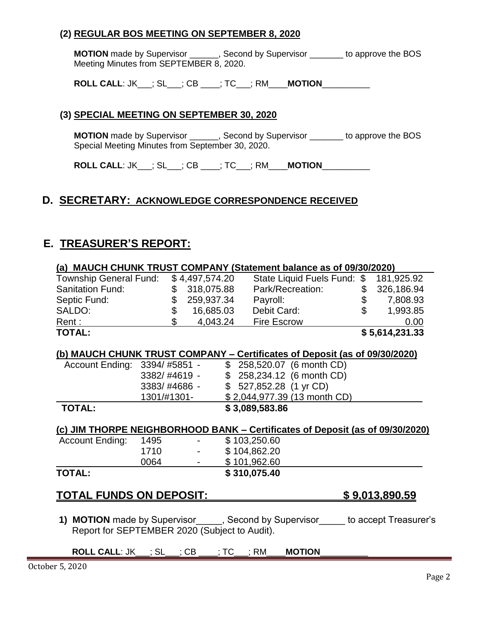### **(2) REGULAR BOS MEETING ON SEPTEMBER 8, 2020**

**MOTION** made by Supervisor \_\_\_\_\_\_, Second by Supervisor \_\_\_\_\_\_\_ to approve the BOS Meeting Minutes from SEPTEMBER 8, 2020.

**ROLL CALL**: JK\_\_\_; SL\_\_\_; CB \_\_\_\_; TC\_\_\_; RM\_\_\_\_**MOTION**\_\_\_\_\_\_\_\_\_\_

#### **(3) SPECIAL MEETING ON SEPTEMBER 30, 2020**

**MOTION** made by Supervisor \_\_\_\_\_\_, Second by Supervisor \_\_\_\_\_\_\_ to approve the BOS Special Meeting Minutes from September 30, 2020.

**ROLL CALL**: JK\_\_\_; SL\_\_\_; CB \_\_\_\_; TC\_\_\_; RM\_\_\_\_**MOTION**\_\_\_\_\_\_\_\_\_\_

### **D. SECRETARY: ACKNOWLEDGE CORRESPONDENCE RECEIVED**

## **E. TREASURER'S REPORT:**

| (a) MAUCH CHUNK TRUST COMPANY (Statement balance as of 09/30/2020) |                |                                               |  |                                                                                     |  |                            |  |  |
|--------------------------------------------------------------------|----------------|-----------------------------------------------|--|-------------------------------------------------------------------------------------|--|----------------------------|--|--|
| Township General Fund: \$4,497,574.20                              |                |                                               |  | State Liquid Fuels Fund: \$ 181,925.92                                              |  |                            |  |  |
| <b>Sanitation Fund:</b>                                            |                | \$ 318,075.88                                 |  | Park/Recreation:                                                                    |  | \$ 326,186.94              |  |  |
| Septic Fund:                                                       |                | \$ 259,937.34                                 |  | Payroll:                                                                            |  | $$7,808.93$<br>$$7,993.85$ |  |  |
| SALDO:                                                             | \$             | 16,685.03                                     |  | Debit Card:                                                                         |  | 1,993.85                   |  |  |
| Rent :                                                             | $\mathfrak{L}$ | 4,043.24                                      |  | <b>Fire Escrow</b>                                                                  |  | 0.00                       |  |  |
| <b>TOTAL:</b>                                                      |                |                                               |  |                                                                                     |  | \$5,614,231.33             |  |  |
|                                                                    |                |                                               |  |                                                                                     |  |                            |  |  |
|                                                                    |                |                                               |  | (b) MAUCH CHUNK TRUST COMPANY - Certificates of Deposit (as of 09/30/2020)          |  |                            |  |  |
| Account Ending: 3394/#5851 -                                       |                |                                               |  | \$258,520.07 (6 month CD)                                                           |  |                            |  |  |
|                                                                    |                | 3382/#4619 -                                  |  | \$258,234.12 (6 month CD)                                                           |  |                            |  |  |
|                                                                    |                | 3383/#4686 -                                  |  | $$527,852.28$ (1 yr CD)                                                             |  |                            |  |  |
|                                                                    |                | 1301/#1301-                                   |  | \$2,044,977.39 (13 month CD)                                                        |  |                            |  |  |
| <b>TOTAL:</b>                                                      |                |                                               |  | \$3,089,583.86                                                                      |  |                            |  |  |
|                                                                    |                |                                               |  |                                                                                     |  |                            |  |  |
|                                                                    |                |                                               |  | (c) JIM THORPE NEIGHBORHOOD BANK - Certificates of Deposit (as of 09/30/2020)       |  |                            |  |  |
| Account Ending:                                                    | 1495 — 14      | $\bullet$ - $\bullet$ - $\bullet$ - $\bullet$ |  | \$103,250.60                                                                        |  |                            |  |  |
|                                                                    | 1710           |                                               |  | \$104,862.20                                                                        |  |                            |  |  |
|                                                                    | 0064           |                                               |  | \$101,962.60                                                                        |  |                            |  |  |
| <b>TOTAL:</b>                                                      |                |                                               |  | \$310,075.40                                                                        |  |                            |  |  |
|                                                                    |                |                                               |  |                                                                                     |  |                            |  |  |
| <b>TOTAL FUNDS ON DEPOSIT:</b>                                     |                |                                               |  |                                                                                     |  | \$9,013,890.59             |  |  |
|                                                                    |                |                                               |  |                                                                                     |  |                            |  |  |
|                                                                    |                |                                               |  | 1) MOTION made by Supervisor______, Second by Supervisor_____ to accept Treasurer's |  |                            |  |  |
| Report for SEPTEMBER 2020 (Subject to Audit).                      |                |                                               |  |                                                                                     |  |                            |  |  |
|                                                                    |                |                                               |  |                                                                                     |  |                            |  |  |
| <b>ROLL CALL: JK__; SL__; CB ___; TC__; RM_</b>                    |                |                                               |  | <b>MOTION</b>                                                                       |  |                            |  |  |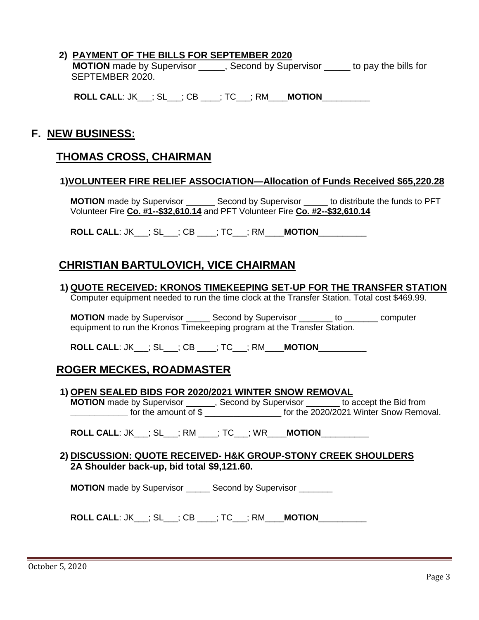#### **2) PAYMENT OF THE BILLS FOR SEPTEMBER 2020**

**MOTION** made by Supervisor **and Supervisor** cond by Supervisor to pay the bills for SEPTEMBER 2020.

**ROLL CALL**: JK\_\_\_; SL\_\_\_; CB \_\_\_\_; TC\_\_\_; RM\_\_\_\_**MOTION**\_\_\_\_\_\_\_\_\_\_

## **F. NEW BUSINESS:**

### **THOMAS CROSS, CHAIRMAN**

#### **1)VOLUNTEER FIRE RELIEF ASSOCIATION—Allocation of Funds Received \$65,220.28**

**MOTION** made by Supervisor \_\_\_\_\_\_ Second by Supervisor \_\_\_\_\_ to distribute the funds to PFT Volunteer Fire **Co. #1--\$32,610.14** and PFT Volunteer Fire **Co. #2--\$32,610.14**

**ROLL CALL**: JK\_\_\_; SL\_\_\_; CB \_\_\_\_; TC\_\_\_; RM\_\_\_\_**MOTION**\_\_\_\_\_\_\_\_\_\_

## **CHRISTIAN BARTULOVICH, VICE CHAIRMAN**

**1) QUOTE RECEIVED: KRONOS TIMEKEEPING SET-UP FOR THE TRANSFER STATION** Computer equipment needed to run the time clock at the Transfer Station. Total cost \$469.99.

**MOTION** made by Supervisor \_\_\_\_\_ Second by Supervisor \_\_\_\_\_\_\_ to \_\_\_\_\_\_\_ computer equipment to run the Kronos Timekeeping program at the Transfer Station.

**ROLL CALL**: JK\_\_\_; SL\_\_\_; CB \_\_\_\_; TC\_\_\_; RM\_\_\_\_**MOTION**\_\_\_\_\_\_\_\_\_\_

## **ROGER MECKES, ROADMASTER**

#### **1) OPEN SEALED BIDS FOR 2020/2021 WINTER SNOW REMOVAL**

**MOTION** made by Supervisor \_\_\_\_\_\_, Second by Supervisor \_\_\_\_\_\_ to accept the Bid from **\_\_\_\_\_\_\_\_\_\_\_\_** for the amount of \$ \_\_\_\_\_\_\_\_\_\_\_\_\_\_\_\_ for the 2020/2021 Winter Snow Removal.

**ROLL CALL**: JK\_\_\_; SL\_\_\_; RM \_\_\_\_; TC\_\_\_; WR\_\_\_\_**MOTION**\_\_\_\_\_\_\_\_\_\_

#### **2) DISCUSSION: QUOTE RECEIVED- H&K GROUP-STONY CREEK SHOULDERS 2A Shoulder back-up, bid total \$9,121.60.**

**MOTION** made by Supervisor **Second by Supervisor** 

**ROLL CALL**: JK\_\_\_; SL\_\_\_; CB \_\_\_\_; TC\_\_\_; RM\_\_\_\_**MOTION**\_\_\_\_\_\_\_\_\_\_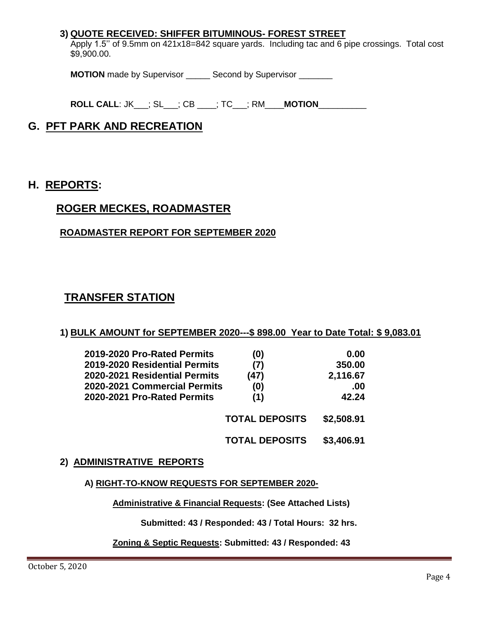#### **3) QUOTE RECEIVED: SHIFFER BITUMINOUS- FOREST STREET**

Apply 1.5'' of 9.5mm on 421x18=842 square yards. Including tac and 6 pipe crossings. Total cost \$9,900.00.

**MOTION** made by Supervisor \_\_\_\_\_ Second by Supervisor \_\_\_\_\_\_\_

**ROLL CALL**: JK\_\_\_; SL\_\_\_; CB \_\_\_\_; TC\_\_\_; RM\_\_\_\_**MOTION**\_\_\_\_\_\_\_\_\_\_

# **G. PFT PARK AND RECREATION**

## **H. REPORTS:**

## **ROGER MECKES, ROADMASTER**

### **ROADMASTER REPORT FOR SEPTEMBER 2020**

## **TRANSFER STATION**

#### **1) BULK AMOUNT for SEPTEMBER 2020---\$ 898.00 Year to Date Total: \$ 9,083.01**

| 2019-2020 Pro-Rated Permits   | (0)                   | 0.00       |
|-------------------------------|-----------------------|------------|
| 2019-2020 Residential Permits | (7)                   | 350.00     |
| 2020-2021 Residential Permits | (47)                  | 2,116.67   |
| 2020-2021 Commercial Permits  | (0)                   | .00        |
| 2020-2021 Pro-Rated Permits   | (1)                   | 42.24      |
|                               | <b>TOTAL DEPOSITS</b> | \$2,508.91 |
|                               | <b>TOTAL DEPOSITS</b> | \$3,406.91 |

#### **2) ADMINISTRATIVE REPORTS**

#### **A) RIGHT-TO-KNOW REQUESTS FOR SEPTEMBER 2020-**

**Administrative & Financial Requests: (See Attached Lists)**

 **Submitted: 43 / Responded: 43 / Total Hours: 32 hrs.**

#### **Zoning & Septic Requests: Submitted: 43 / Responded: 43**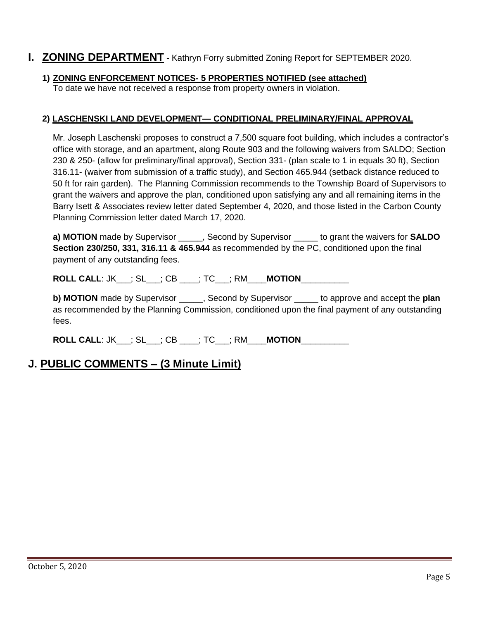## **I. ZONING DEPARTMENT** - Kathryn Forry submitted Zoning Report for SEPTEMBER 2020.

### **1) ZONING ENFORCEMENT NOTICES- 5 PROPERTIES NOTIFIED (see attached)**

To date we have not received a response from property owners in violation.

#### **2) LASCHENSKI LAND DEVELOPMENT— CONDITIONAL PRELIMINARY/FINAL APPROVAL**

Mr. Joseph Laschenski proposes to construct a 7,500 square foot building, which includes a contractor's office with storage, and an apartment, along Route 903 and the following waivers from SALDO; Section 230 & 250- (allow for preliminary/final approval), Section 331- (plan scale to 1 in equals 30 ft), Section 316.11- (waiver from submission of a traffic study), and Section 465.944 (setback distance reduced to 50 ft for rain garden). The Planning Commission recommends to the Township Board of Supervisors to grant the waivers and approve the plan, conditioned upon satisfying any and all remaining items in the Barry Isett & Associates review letter dated September 4, 2020, and those listed in the Carbon County Planning Commission letter dated March 17, 2020.

**a) MOTION** made by Supervisor \_\_\_\_\_, Second by Supervisor \_\_\_\_\_ to grant the waivers for **SALDO Section 230/250, 331, 316.11 & 465.944** as recommended by the PC, conditioned upon the final payment of any outstanding fees.

**ROLL CALL**: JK\_\_\_; SL\_\_\_; CB \_\_\_\_; TC\_\_\_; RM\_\_\_\_**MOTION**\_\_\_\_\_\_\_\_\_\_

**b) MOTION** made by Supervisor \_\_\_\_\_, Second by Supervisor \_\_\_\_\_ to approve and accept the **plan** as recommended by the Planning Commission, conditioned upon the final payment of any outstanding fees.

**ROLL CALL**: JK\_\_\_; SL\_\_\_; CB \_\_\_\_; TC\_\_\_; RM\_\_\_\_**MOTION**\_\_\_\_\_\_\_\_\_\_

# **J. PUBLIC COMMENTS – (3 Minute Limit)**